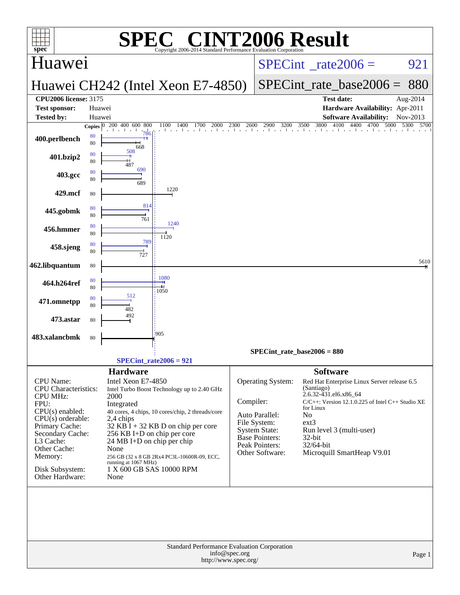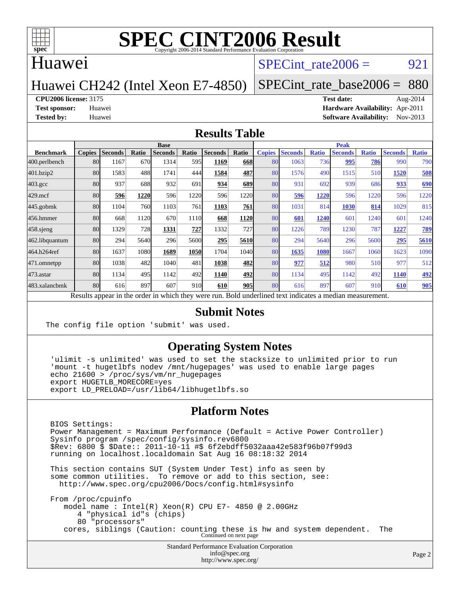

### Huawei

### SPECint rate $2006 = 921$

## Huawei CH242 (Intel Xeon E7-4850)

[SPECint\\_rate\\_base2006 =](http://www.spec.org/auto/cpu2006/Docs/result-fields.html#SPECintratebase2006) 880

#### **[CPU2006 license:](http://www.spec.org/auto/cpu2006/Docs/result-fields.html#CPU2006license)** 3175 **[Test date:](http://www.spec.org/auto/cpu2006/Docs/result-fields.html#Testdate)** Aug-2014

**[Test sponsor:](http://www.spec.org/auto/cpu2006/Docs/result-fields.html#Testsponsor)** Huawei **[Hardware Availability:](http://www.spec.org/auto/cpu2006/Docs/result-fields.html#HardwareAvailability)** Apr-2011 **[Tested by:](http://www.spec.org/auto/cpu2006/Docs/result-fields.html#Testedby)** Huawei **[Software Availability:](http://www.spec.org/auto/cpu2006/Docs/result-fields.html#SoftwareAvailability)** Nov-2013

#### **[Results Table](http://www.spec.org/auto/cpu2006/Docs/result-fields.html#ResultsTable)**

|                    | <b>Base</b>   |                |       |                                                                                                          |       |                |       |               | <b>Peak</b>    |              |                |              |                |              |  |
|--------------------|---------------|----------------|-------|----------------------------------------------------------------------------------------------------------|-------|----------------|-------|---------------|----------------|--------------|----------------|--------------|----------------|--------------|--|
| <b>Benchmark</b>   | <b>Copies</b> | <b>Seconds</b> | Ratio | <b>Seconds</b>                                                                                           | Ratio | <b>Seconds</b> | Ratio | <b>Copies</b> | <b>Seconds</b> | <b>Ratio</b> | <b>Seconds</b> | <b>Ratio</b> | <b>Seconds</b> | <b>Ratio</b> |  |
| 400.perlbench      | 80            | 1167           | 670   | 1314                                                                                                     | 595I  | 1169           | 668   | 80            | 1063           | 736          | 995            | 786          | 990            | 790          |  |
| 401.bzip2          | 80            | 1583           | 488   | 1741                                                                                                     | 444   | 1584           | 487   | 80            | 1576           | 490          | 1515           | 510          | 1520           | 508          |  |
| $403.\mathrm{gcc}$ | 80            | 937            | 688   | 932                                                                                                      | 691   | 934            | 689   | 80            | 931            | 692          | 939            | 686          | 933            | <u>690</u>   |  |
| $429$ .mcf         | 80            | 596            | 1220  | 596                                                                                                      | 1220  | 596            | 1220  | 80            | 596            | 1220         | 596            | 1220         | 596            | 1220         |  |
| $445$ .gobmk       | 80            | 1104           | 760   | 1103                                                                                                     | 761   | 1103           | 761   | 80            | 1031           | 814          | 1030           | 814          | 1029           | 815          |  |
| 456.hmmer          | 80            | 668            | 1120  | 670                                                                                                      | 1110  | 668            | 1120  | 80            | 601            | 1240         | 601            | 1240         | 601            | 1240         |  |
| $458$ .sjeng       | 80            | 1329           | 728   | 1331                                                                                                     | 727   | 1332           | 727I  | 80            | 1226           | 789          | 1230           | 787          | 1227           | <u>789</u>   |  |
| 462.libquantum     | 80            | 294            | 5640  | 296                                                                                                      | 5600  | 295            | 5610  | 80            | 294            | 5640         | 296            | 5600         | 295            | 5610         |  |
| 464.h264ref        | 80            | 1637           | 1080  | 1689                                                                                                     | 1050  | 1704           | 1040  | 80            | 1635           | 1080         | 1667           | 1060         | 1623           | 1090         |  |
| 471.omnetpp        | 80            | 1038           | 482   | 1040                                                                                                     | 481   | 1038           | 482   | 80            | 977            | 512          | 980            | 510          | 977            | 512          |  |
| $473$ . astar      | 80            | 1134           | 495   | 1142                                                                                                     | 492   | 1140           | 492   | 80            | 1134           | 495          | 1142           | 492          | 1140           | 492          |  |
| 483.xalancbmk      | 80            | 616            | 897   | 607                                                                                                      | 910   | 610            | 905   | 80            | 616            | 897          | 607            | 910          | 610            | 905          |  |
|                    |               |                |       | Results appear in the order in which they were run. Bold underlined text indicates a median measurement. |       |                |       |               |                |              |                |              |                |              |  |

#### **[Submit Notes](http://www.spec.org/auto/cpu2006/Docs/result-fields.html#SubmitNotes)**

The config file option 'submit' was used.

#### **[Operating System Notes](http://www.spec.org/auto/cpu2006/Docs/result-fields.html#OperatingSystemNotes)**

 'ulimit -s unlimited' was used to set the stacksize to unlimited prior to run 'mount -t hugetlbfs nodev /mnt/hugepages' was used to enable large pages echo 21600 > /proc/sys/vm/nr\_hugepages export HUGETLB\_MORECORE=yes export LD\_PRELOAD=/usr/lib64/libhugetlbfs.so

#### **[Platform Notes](http://www.spec.org/auto/cpu2006/Docs/result-fields.html#PlatformNotes)**

 BIOS Settings: Power Management = Maximum Performance (Default = Active Power Controller) Sysinfo program /spec/config/sysinfo.rev6800 \$Rev: 6800 \$ \$Date:: 2011-10-11 #\$ 6f2ebdff5032aaa42e583f96b07f99d3 running on localhost.localdomain Sat Aug 16 08:18:32 2014

 This section contains SUT (System Under Test) info as seen by some common utilities. To remove or add to this section, see: <http://www.spec.org/cpu2006/Docs/config.html#sysinfo>

 From /proc/cpuinfo model name : Intel(R) Xeon(R) CPU E7- 4850 @ 2.00GHz 4 "physical id"s (chips) 80 "processors" cores, siblings (Caution: counting these is hw and system dependent. The Continued on next page

> Standard Performance Evaluation Corporation [info@spec.org](mailto:info@spec.org) <http://www.spec.org/>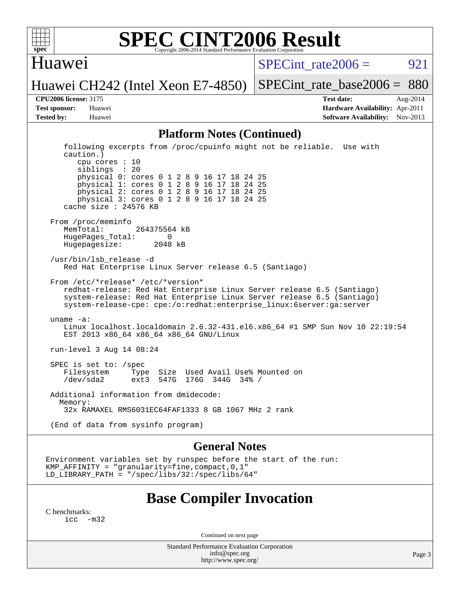

### Huawei

SPECint rate $2006 = 921$ 

Huawei CH242 (Intel Xeon E7-4850)

[SPECint\\_rate\\_base2006 =](http://www.spec.org/auto/cpu2006/Docs/result-fields.html#SPECintratebase2006) 880

**[CPU2006 license:](http://www.spec.org/auto/cpu2006/Docs/result-fields.html#CPU2006license)** 3175 **[Test date:](http://www.spec.org/auto/cpu2006/Docs/result-fields.html#Testdate)** Aug-2014 **[Test sponsor:](http://www.spec.org/auto/cpu2006/Docs/result-fields.html#Testsponsor)** Huawei **[Hardware Availability:](http://www.spec.org/auto/cpu2006/Docs/result-fields.html#HardwareAvailability)** Apr-2011 **[Tested by:](http://www.spec.org/auto/cpu2006/Docs/result-fields.html#Testedby)** Huawei **[Software Availability:](http://www.spec.org/auto/cpu2006/Docs/result-fields.html#SoftwareAvailability)** Nov-2013

#### **[Platform Notes \(Continued\)](http://www.spec.org/auto/cpu2006/Docs/result-fields.html#PlatformNotes)**

 following excerpts from /proc/cpuinfo might not be reliable. Use with caution.) cpu cores : 10 siblings : 20 physical 0: cores 0 1 2 8 9 16 17 18 24 25 physical 1: cores 0 1 2 8 9 16 17 18 24 25 physical 2: cores 0 1 2 8 9 16 17 18 24 25 physical 3: cores 0 1 2 8 9 16 17 18 24 25 cache size : 24576 KB From /proc/meminfo MemTotal: 264375564 kB HugePages\_Total: 0<br>Hugepagesize: 2048 kB Hugepagesize: /usr/bin/lsb\_release -d Red Hat Enterprise Linux Server release 6.5 (Santiago) From /etc/\*release\* /etc/\*version\* redhat-release: Red Hat Enterprise Linux Server release 6.5 (Santiago) system-release: Red Hat Enterprise Linux Server release 6.5 (Santiago) system-release-cpe: cpe:/o:redhat:enterprise\_linux:6server:ga:server uname -a: Linux localhost.localdomain 2.6.32-431.el6.x86\_64 #1 SMP Sun Nov 10 22:19:54 EST 2013 x86\_64 x86\_64 x86\_64 GNU/Linux run-level 3 Aug 14 08:24 SPEC is set to: /spec Filesystem Type Size Used Avail Use% Mounted on<br>
/dev/sda2 ext3 547G 176G 344G 34% /  $ext3$  547G 176G 344G 34% / Additional information from dmidecode: Memory: 32x RAMAXEL RMS6031EC64FAF1333 8 GB 1067 MHz 2 rank (End of data from sysinfo program)

#### **[General Notes](http://www.spec.org/auto/cpu2006/Docs/result-fields.html#GeneralNotes)**

Environment variables set by runspec before the start of the run: KMP\_AFFINITY = "granularity=fine,compact,0,1" LD\_LIBRARY\_PATH = "/spec/libs/32:/spec/libs/64"

### **[Base Compiler Invocation](http://www.spec.org/auto/cpu2006/Docs/result-fields.html#BaseCompilerInvocation)**

[C benchmarks](http://www.spec.org/auto/cpu2006/Docs/result-fields.html#Cbenchmarks):  $inc -m32$ 

Continued on next page

Standard Performance Evaluation Corporation [info@spec.org](mailto:info@spec.org) <http://www.spec.org/>

Page 3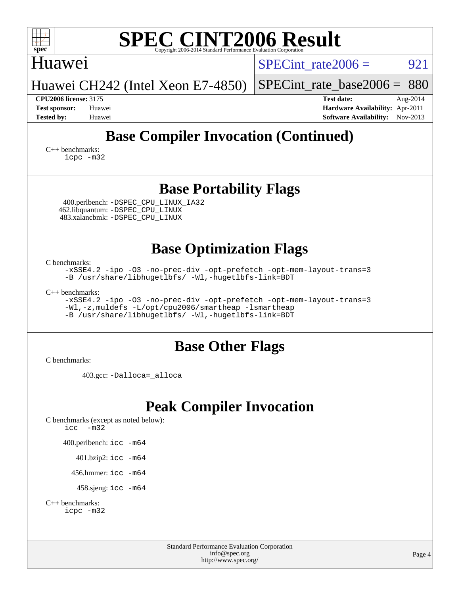| <b>SPEC CINT2006 Result</b><br>spec <sup>®</sup><br>Copyright 2006-2014 Standard Performance Evaluation Corr                                                                                                |                                                                                                               |  |  |  |  |  |  |  |
|-------------------------------------------------------------------------------------------------------------------------------------------------------------------------------------------------------------|---------------------------------------------------------------------------------------------------------------|--|--|--|--|--|--|--|
| <b>Huawei</b>                                                                                                                                                                                               | $SPECint$ rate $2006 =$<br>921                                                                                |  |  |  |  |  |  |  |
| Huawei CH242 (Intel Xeon E7-4850)                                                                                                                                                                           | 880<br>$SPECint$ rate base2006 =                                                                              |  |  |  |  |  |  |  |
| <b>CPU2006 license: 3175</b><br><b>Test sponsor:</b><br>Huawei<br><b>Tested by:</b><br>Huawei                                                                                                               | <b>Test date:</b><br>Aug-2014<br>Hardware Availability: Apr-2011<br><b>Software Availability:</b><br>Nov-2013 |  |  |  |  |  |  |  |
| <b>Base Compiler Invocation (Continued)</b><br>$C_{++}$ benchmarks:<br>icpc -m32                                                                                                                            |                                                                                                               |  |  |  |  |  |  |  |
| <b>Base Portability Flags</b><br>400.perlbench: -DSPEC CPU LINUX IA32<br>462.libquantum: - DSPEC CPU LINUX<br>483.xalancbmk: -DSPEC_CPU_LINUX                                                               |                                                                                                               |  |  |  |  |  |  |  |
| <b>Base Optimization Flags</b>                                                                                                                                                                              |                                                                                                               |  |  |  |  |  |  |  |
| C benchmarks:<br>-xSSE4.2 -ipo -03 -no-prec-div -opt-prefetch -opt-mem-layout-trans=3<br>-B /usr/share/libhugetlbfs/ -Wl,-hugetlbfs-link=BDT                                                                |                                                                                                               |  |  |  |  |  |  |  |
| $C_{++}$ benchmarks:<br>-xSSE4.2 -ipo -03 -no-prec-div -opt-prefetch -opt-mem-layout-trans=3<br>-Wl,-z, muldefs -L/opt/cpu2006/smartheap -lsmartheap<br>-B /usr/share/libhugetlbfs/ -Wl,-hugetlbfs-link=BDT |                                                                                                               |  |  |  |  |  |  |  |
| <b>Base Other Flags</b>                                                                                                                                                                                     |                                                                                                               |  |  |  |  |  |  |  |
| C benchmarks:                                                                                                                                                                                               |                                                                                                               |  |  |  |  |  |  |  |
| 403.gcc: -Dalloca=_alloca                                                                                                                                                                                   |                                                                                                               |  |  |  |  |  |  |  |
| <b>Peak Compiler Invocation</b>                                                                                                                                                                             |                                                                                                               |  |  |  |  |  |  |  |
| C benchmarks (except as noted below):<br>$-m32$<br>icc                                                                                                                                                      |                                                                                                               |  |  |  |  |  |  |  |
| 400.perlbench: icc -m64                                                                                                                                                                                     |                                                                                                               |  |  |  |  |  |  |  |
| 401.bzip2: icc -m64                                                                                                                                                                                         |                                                                                                               |  |  |  |  |  |  |  |
| 456.hmmer: icc -m64                                                                                                                                                                                         |                                                                                                               |  |  |  |  |  |  |  |

458.sjeng: [icc -m64](http://www.spec.org/cpu2006/results/res2014q3/cpu2006-20140903-31179.flags.html#user_peakCCLD458_sjeng_intel_icc_64bit_bda6cc9af1fdbb0edc3795bac97ada53)

[C++ benchmarks:](http://www.spec.org/auto/cpu2006/Docs/result-fields.html#CXXbenchmarks)

[icpc -m32](http://www.spec.org/cpu2006/results/res2014q3/cpu2006-20140903-31179.flags.html#user_CXXpeak_intel_icpc_4e5a5ef1a53fd332b3c49e69c3330699)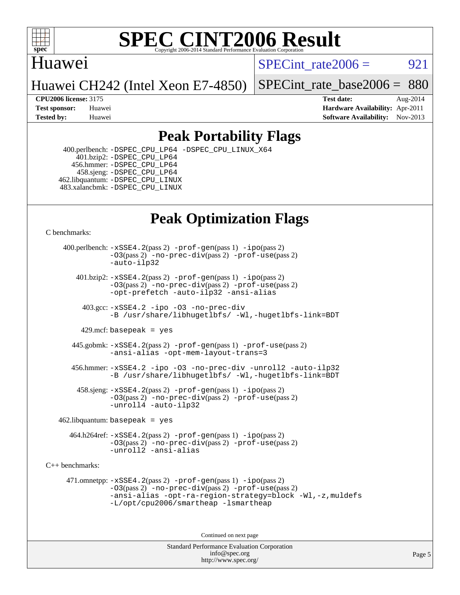

## Huawei

SPECint rate $2006 = 921$ 

[SPECint\\_rate\\_base2006 =](http://www.spec.org/auto/cpu2006/Docs/result-fields.html#SPECintratebase2006) 880

## Huawei CH242 (Intel Xeon E7-4850)

**[CPU2006 license:](http://www.spec.org/auto/cpu2006/Docs/result-fields.html#CPU2006license)** 3175 **[Test date:](http://www.spec.org/auto/cpu2006/Docs/result-fields.html#Testdate)** Aug-2014 **[Test sponsor:](http://www.spec.org/auto/cpu2006/Docs/result-fields.html#Testsponsor)** Huawei **[Hardware Availability:](http://www.spec.org/auto/cpu2006/Docs/result-fields.html#HardwareAvailability)** Apr-2011 **[Tested by:](http://www.spec.org/auto/cpu2006/Docs/result-fields.html#Testedby)** Huawei **[Software Availability:](http://www.spec.org/auto/cpu2006/Docs/result-fields.html#SoftwareAvailability)** Nov-2013

## **[Peak Portability Flags](http://www.spec.org/auto/cpu2006/Docs/result-fields.html#PeakPortabilityFlags)**

 400.perlbench: [-DSPEC\\_CPU\\_LP64](http://www.spec.org/cpu2006/results/res2014q3/cpu2006-20140903-31179.flags.html#b400.perlbench_peakCPORTABILITY_DSPEC_CPU_LP64) [-DSPEC\\_CPU\\_LINUX\\_X64](http://www.spec.org/cpu2006/results/res2014q3/cpu2006-20140903-31179.flags.html#b400.perlbench_peakCPORTABILITY_DSPEC_CPU_LINUX_X64)  $401.bzip2: -DSPEC_CPULP64$  456.hmmer: [-DSPEC\\_CPU\\_LP64](http://www.spec.org/cpu2006/results/res2014q3/cpu2006-20140903-31179.flags.html#suite_peakCPORTABILITY456_hmmer_DSPEC_CPU_LP64) 458.sjeng: [-DSPEC\\_CPU\\_LP64](http://www.spec.org/cpu2006/results/res2014q3/cpu2006-20140903-31179.flags.html#suite_peakCPORTABILITY458_sjeng_DSPEC_CPU_LP64) 462.libquantum: [-DSPEC\\_CPU\\_LINUX](http://www.spec.org/cpu2006/results/res2014q3/cpu2006-20140903-31179.flags.html#b462.libquantum_peakCPORTABILITY_DSPEC_CPU_LINUX) 483.xalancbmk: [-DSPEC\\_CPU\\_LINUX](http://www.spec.org/cpu2006/results/res2014q3/cpu2006-20140903-31179.flags.html#b483.xalancbmk_peakCXXPORTABILITY_DSPEC_CPU_LINUX)

## **[Peak Optimization Flags](http://www.spec.org/auto/cpu2006/Docs/result-fields.html#PeakOptimizationFlags)**

[C benchmarks](http://www.spec.org/auto/cpu2006/Docs/result-fields.html#Cbenchmarks):

 400.perlbench: [-xSSE4.2](http://www.spec.org/cpu2006/results/res2014q3/cpu2006-20140903-31179.flags.html#user_peakPASS2_CFLAGSPASS2_LDCFLAGS400_perlbench_f-xSSE42_f91528193cf0b216347adb8b939d4107)(pass 2) [-prof-gen](http://www.spec.org/cpu2006/results/res2014q3/cpu2006-20140903-31179.flags.html#user_peakPASS1_CFLAGSPASS1_LDCFLAGS400_perlbench_prof_gen_e43856698f6ca7b7e442dfd80e94a8fc)(pass 1) [-ipo](http://www.spec.org/cpu2006/results/res2014q3/cpu2006-20140903-31179.flags.html#user_peakPASS2_CFLAGSPASS2_LDCFLAGS400_perlbench_f-ipo)(pass 2) [-O3](http://www.spec.org/cpu2006/results/res2014q3/cpu2006-20140903-31179.flags.html#user_peakPASS2_CFLAGSPASS2_LDCFLAGS400_perlbench_f-O3)(pass 2) [-no-prec-div](http://www.spec.org/cpu2006/results/res2014q3/cpu2006-20140903-31179.flags.html#user_peakPASS2_CFLAGSPASS2_LDCFLAGS400_perlbench_f-no-prec-div)(pass 2) [-prof-use](http://www.spec.org/cpu2006/results/res2014q3/cpu2006-20140903-31179.flags.html#user_peakPASS2_CFLAGSPASS2_LDCFLAGS400_perlbench_prof_use_bccf7792157ff70d64e32fe3e1250b55)(pass 2) [-auto-ilp32](http://www.spec.org/cpu2006/results/res2014q3/cpu2006-20140903-31179.flags.html#user_peakCOPTIMIZE400_perlbench_f-auto-ilp32)  $401.bzip2: -xSSE4.2(pass 2) -prof-qen(pass 1) -ipo(pass 2)$  $401.bzip2: -xSSE4.2(pass 2) -prof-qen(pass 1) -ipo(pass 2)$  $401.bzip2: -xSSE4.2(pass 2) -prof-qen(pass 1) -ipo(pass 2)$  $401.bzip2: -xSSE4.2(pass 2) -prof-qen(pass 1) -ipo(pass 2)$  $401.bzip2: -xSSE4.2(pass 2) -prof-qen(pass 1) -ipo(pass 2)$ [-O3](http://www.spec.org/cpu2006/results/res2014q3/cpu2006-20140903-31179.flags.html#user_peakPASS2_CFLAGSPASS2_LDCFLAGS401_bzip2_f-O3)(pass 2) [-no-prec-div](http://www.spec.org/cpu2006/results/res2014q3/cpu2006-20140903-31179.flags.html#user_peakPASS2_CFLAGSPASS2_LDCFLAGS401_bzip2_f-no-prec-div)(pass 2) [-prof-use](http://www.spec.org/cpu2006/results/res2014q3/cpu2006-20140903-31179.flags.html#user_peakPASS2_CFLAGSPASS2_LDCFLAGS401_bzip2_prof_use_bccf7792157ff70d64e32fe3e1250b55)(pass 2) [-opt-prefetch](http://www.spec.org/cpu2006/results/res2014q3/cpu2006-20140903-31179.flags.html#user_peakCOPTIMIZE401_bzip2_f-opt-prefetch) [-auto-ilp32](http://www.spec.org/cpu2006/results/res2014q3/cpu2006-20140903-31179.flags.html#user_peakCOPTIMIZE401_bzip2_f-auto-ilp32) [-ansi-alias](http://www.spec.org/cpu2006/results/res2014q3/cpu2006-20140903-31179.flags.html#user_peakCOPTIMIZE401_bzip2_f-ansi-alias) 403.gcc: [-xSSE4.2](http://www.spec.org/cpu2006/results/res2014q3/cpu2006-20140903-31179.flags.html#user_peakCOPTIMIZE403_gcc_f-xSSE42_f91528193cf0b216347adb8b939d4107) [-ipo](http://www.spec.org/cpu2006/results/res2014q3/cpu2006-20140903-31179.flags.html#user_peakCOPTIMIZE403_gcc_f-ipo) [-O3](http://www.spec.org/cpu2006/results/res2014q3/cpu2006-20140903-31179.flags.html#user_peakCOPTIMIZE403_gcc_f-O3) [-no-prec-div](http://www.spec.org/cpu2006/results/res2014q3/cpu2006-20140903-31179.flags.html#user_peakCOPTIMIZE403_gcc_f-no-prec-div) [-B /usr/share/libhugetlbfs/ -Wl,-hugetlbfs-link=BDT](http://www.spec.org/cpu2006/results/res2014q3/cpu2006-20140903-31179.flags.html#user_peakLDOPT403_gcc_link_for_large_pages_32bit_12434cf7fb23aa199d8d9392d3b58d89) 429.mcf: basepeak = yes 445.gobmk: [-xSSE4.2](http://www.spec.org/cpu2006/results/res2014q3/cpu2006-20140903-31179.flags.html#user_peakPASS2_CFLAGSPASS2_LDCFLAGS445_gobmk_f-xSSE42_f91528193cf0b216347adb8b939d4107)(pass 2) [-prof-gen](http://www.spec.org/cpu2006/results/res2014q3/cpu2006-20140903-31179.flags.html#user_peakPASS1_CFLAGSPASS1_LDCFLAGS445_gobmk_prof_gen_e43856698f6ca7b7e442dfd80e94a8fc)(pass 1) [-prof-use](http://www.spec.org/cpu2006/results/res2014q3/cpu2006-20140903-31179.flags.html#user_peakPASS2_CFLAGSPASS2_LDCFLAGS445_gobmk_prof_use_bccf7792157ff70d64e32fe3e1250b55)(pass 2) [-ansi-alias](http://www.spec.org/cpu2006/results/res2014q3/cpu2006-20140903-31179.flags.html#user_peakCOPTIMIZE445_gobmk_f-ansi-alias) [-opt-mem-layout-trans=3](http://www.spec.org/cpu2006/results/res2014q3/cpu2006-20140903-31179.flags.html#user_peakCOPTIMIZE445_gobmk_f-opt-mem-layout-trans_a7b82ad4bd7abf52556d4961a2ae94d5) 456.hmmer: [-xSSE4.2](http://www.spec.org/cpu2006/results/res2014q3/cpu2006-20140903-31179.flags.html#user_peakCOPTIMIZE456_hmmer_f-xSSE42_f91528193cf0b216347adb8b939d4107) [-ipo](http://www.spec.org/cpu2006/results/res2014q3/cpu2006-20140903-31179.flags.html#user_peakCOPTIMIZE456_hmmer_f-ipo) [-O3](http://www.spec.org/cpu2006/results/res2014q3/cpu2006-20140903-31179.flags.html#user_peakCOPTIMIZE456_hmmer_f-O3) [-no-prec-div](http://www.spec.org/cpu2006/results/res2014q3/cpu2006-20140903-31179.flags.html#user_peakCOPTIMIZE456_hmmer_f-no-prec-div) [-unroll2](http://www.spec.org/cpu2006/results/res2014q3/cpu2006-20140903-31179.flags.html#user_peakCOPTIMIZE456_hmmer_f-unroll_784dae83bebfb236979b41d2422d7ec2) [-auto-ilp32](http://www.spec.org/cpu2006/results/res2014q3/cpu2006-20140903-31179.flags.html#user_peakCOPTIMIZE456_hmmer_f-auto-ilp32) [-B /usr/share/libhugetlbfs/ -Wl,-hugetlbfs-link=BDT](http://www.spec.org/cpu2006/results/res2014q3/cpu2006-20140903-31179.flags.html#user_peakLDOPT456_hmmer_link_for_large_pages_32bit_12434cf7fb23aa199d8d9392d3b58d89) 458.sjeng: [-xSSE4.2](http://www.spec.org/cpu2006/results/res2014q3/cpu2006-20140903-31179.flags.html#user_peakPASS2_CFLAGSPASS2_LDCFLAGS458_sjeng_f-xSSE42_f91528193cf0b216347adb8b939d4107)(pass 2) [-prof-gen](http://www.spec.org/cpu2006/results/res2014q3/cpu2006-20140903-31179.flags.html#user_peakPASS1_CFLAGSPASS1_LDCFLAGS458_sjeng_prof_gen_e43856698f6ca7b7e442dfd80e94a8fc)(pass 1) [-ipo](http://www.spec.org/cpu2006/results/res2014q3/cpu2006-20140903-31179.flags.html#user_peakPASS2_CFLAGSPASS2_LDCFLAGS458_sjeng_f-ipo)(pass 2) [-O3](http://www.spec.org/cpu2006/results/res2014q3/cpu2006-20140903-31179.flags.html#user_peakPASS2_CFLAGSPASS2_LDCFLAGS458_sjeng_f-O3)(pass 2) [-no-prec-div](http://www.spec.org/cpu2006/results/res2014q3/cpu2006-20140903-31179.flags.html#user_peakPASS2_CFLAGSPASS2_LDCFLAGS458_sjeng_f-no-prec-div)(pass 2) [-prof-use](http://www.spec.org/cpu2006/results/res2014q3/cpu2006-20140903-31179.flags.html#user_peakPASS2_CFLAGSPASS2_LDCFLAGS458_sjeng_prof_use_bccf7792157ff70d64e32fe3e1250b55)(pass 2) [-unroll4](http://www.spec.org/cpu2006/results/res2014q3/cpu2006-20140903-31179.flags.html#user_peakCOPTIMIZE458_sjeng_f-unroll_4e5e4ed65b7fd20bdcd365bec371b81f) [-auto-ilp32](http://www.spec.org/cpu2006/results/res2014q3/cpu2006-20140903-31179.flags.html#user_peakCOPTIMIZE458_sjeng_f-auto-ilp32)  $462$ .libquantum: basepeak = yes 464.h264ref: [-xSSE4.2](http://www.spec.org/cpu2006/results/res2014q3/cpu2006-20140903-31179.flags.html#user_peakPASS2_CFLAGSPASS2_LDCFLAGS464_h264ref_f-xSSE42_f91528193cf0b216347adb8b939d4107)(pass 2) [-prof-gen](http://www.spec.org/cpu2006/results/res2014q3/cpu2006-20140903-31179.flags.html#user_peakPASS1_CFLAGSPASS1_LDCFLAGS464_h264ref_prof_gen_e43856698f6ca7b7e442dfd80e94a8fc)(pass 1) [-ipo](http://www.spec.org/cpu2006/results/res2014q3/cpu2006-20140903-31179.flags.html#user_peakPASS2_CFLAGSPASS2_LDCFLAGS464_h264ref_f-ipo)(pass 2) [-O3](http://www.spec.org/cpu2006/results/res2014q3/cpu2006-20140903-31179.flags.html#user_peakPASS2_CFLAGSPASS2_LDCFLAGS464_h264ref_f-O3)(pass 2) [-no-prec-div](http://www.spec.org/cpu2006/results/res2014q3/cpu2006-20140903-31179.flags.html#user_peakPASS2_CFLAGSPASS2_LDCFLAGS464_h264ref_f-no-prec-div)(pass 2) [-prof-use](http://www.spec.org/cpu2006/results/res2014q3/cpu2006-20140903-31179.flags.html#user_peakPASS2_CFLAGSPASS2_LDCFLAGS464_h264ref_prof_use_bccf7792157ff70d64e32fe3e1250b55)(pass 2) [-unroll2](http://www.spec.org/cpu2006/results/res2014q3/cpu2006-20140903-31179.flags.html#user_peakCOPTIMIZE464_h264ref_f-unroll_784dae83bebfb236979b41d2422d7ec2) [-ansi-alias](http://www.spec.org/cpu2006/results/res2014q3/cpu2006-20140903-31179.flags.html#user_peakCOPTIMIZE464_h264ref_f-ansi-alias) [C++ benchmarks:](http://www.spec.org/auto/cpu2006/Docs/result-fields.html#CXXbenchmarks) 471.omnetpp: [-xSSE4.2](http://www.spec.org/cpu2006/results/res2014q3/cpu2006-20140903-31179.flags.html#user_peakPASS2_CXXFLAGSPASS2_LDCXXFLAGS471_omnetpp_f-xSSE42_f91528193cf0b216347adb8b939d4107)(pass 2) [-prof-gen](http://www.spec.org/cpu2006/results/res2014q3/cpu2006-20140903-31179.flags.html#user_peakPASS1_CXXFLAGSPASS1_LDCXXFLAGS471_omnetpp_prof_gen_e43856698f6ca7b7e442dfd80e94a8fc)(pass 1) [-ipo](http://www.spec.org/cpu2006/results/res2014q3/cpu2006-20140903-31179.flags.html#user_peakPASS2_CXXFLAGSPASS2_LDCXXFLAGS471_omnetpp_f-ipo)(pass 2) [-O3](http://www.spec.org/cpu2006/results/res2014q3/cpu2006-20140903-31179.flags.html#user_peakPASS2_CXXFLAGSPASS2_LDCXXFLAGS471_omnetpp_f-O3)(pass 2) [-no-prec-div](http://www.spec.org/cpu2006/results/res2014q3/cpu2006-20140903-31179.flags.html#user_peakPASS2_CXXFLAGSPASS2_LDCXXFLAGS471_omnetpp_f-no-prec-div)(pass 2) [-prof-use](http://www.spec.org/cpu2006/results/res2014q3/cpu2006-20140903-31179.flags.html#user_peakPASS2_CXXFLAGSPASS2_LDCXXFLAGS471_omnetpp_prof_use_bccf7792157ff70d64e32fe3e1250b55)(pass 2) [-ansi-alias](http://www.spec.org/cpu2006/results/res2014q3/cpu2006-20140903-31179.flags.html#user_peakCXXOPTIMIZE471_omnetpp_f-ansi-alias) [-opt-ra-region-strategy=block](http://www.spec.org/cpu2006/results/res2014q3/cpu2006-20140903-31179.flags.html#user_peakCXXOPTIMIZE471_omnetpp_f-opt-ra-region-strategy_a0a37c372d03933b2a18d4af463c1f69) [-Wl,-z,muldefs](http://www.spec.org/cpu2006/results/res2014q3/cpu2006-20140903-31179.flags.html#user_peakEXTRA_LDFLAGS471_omnetpp_link_force_multiple1_74079c344b956b9658436fd1b6dd3a8a) [-L/opt/cpu2006/smartheap -lsmartheap](http://www.spec.org/cpu2006/results/res2014q3/cpu2006-20140903-31179.flags.html#user_peakEXTRA_LIBS471_omnetpp_SmartHeap_2f852be89b2dfc2d41ebbacc6e6b7c8c) Continued on next page

> Standard Performance Evaluation Corporation [info@spec.org](mailto:info@spec.org) <http://www.spec.org/>